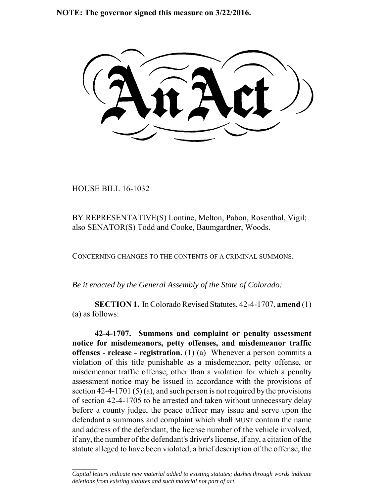**NOTE: The governor signed this measure on 3/22/2016.**

HOUSE BILL 16-1032

 $\frac{1}{2}$ 

BY REPRESENTATIVE(S) Lontine, Melton, Pabon, Rosenthal, Vigil; also SENATOR(S) Todd and Cooke, Baumgardner, Woods.

CONCERNING CHANGES TO THE CONTENTS OF A CRIMINAL SUMMONS.

*Be it enacted by the General Assembly of the State of Colorado:*

**SECTION 1.** In Colorado Revised Statutes, 42-4-1707, **amend** (1) (a) as follows:

**42-4-1707. Summons and complaint or penalty assessment notice for misdemeanors, petty offenses, and misdemeanor traffic offenses - release - registration.** (1) (a) Whenever a person commits a violation of this title punishable as a misdemeanor, petty offense, or misdemeanor traffic offense, other than a violation for which a penalty assessment notice may be issued in accordance with the provisions of section 42-4-1701 (5) (a), and such person is not required by the provisions of section 42-4-1705 to be arrested and taken without unnecessary delay before a county judge, the peace officer may issue and serve upon the defendant a summons and complaint which shall MUST contain the name and address of the defendant, the license number of the vehicle involved, if any, the number of the defendant's driver's license, if any, a citation of the statute alleged to have been violated, a brief description of the offense, the

*Capital letters indicate new material added to existing statutes; dashes through words indicate deletions from existing statutes and such material not part of act.*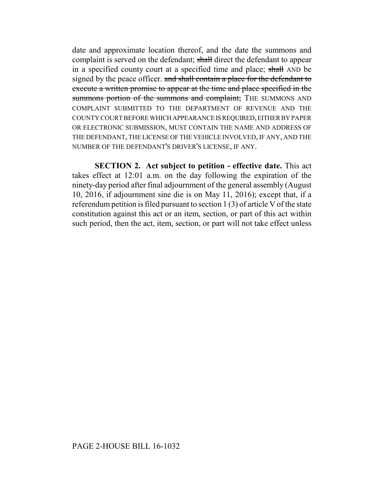date and approximate location thereof, and the date the summons and complaint is served on the defendant; shall direct the defendant to appear in a specified county court at a specified time and place; shall AND be signed by the peace officer. and shall contain a place for the defendant to execute a written promise to appear at the time and place specified in the summons portion of the summons and complaint; THE SUMMONS AND COMPLAINT SUBMITTED TO THE DEPARTMENT OF REVENUE AND THE COUNTY COURT BEFORE WHICH APPEARANCE IS REQUIRED, EITHER BY PAPER OR ELECTRONIC SUBMISSION, MUST CONTAIN THE NAME AND ADDRESS OF THE DEFENDANT, THE LICENSE OF THE VEHICLE INVOLVED, IF ANY, AND THE NUMBER OF THE DEFENDANT'S DRIVER'S LICENSE, IF ANY.

**SECTION 2. Act subject to petition - effective date.** This act takes effect at 12:01 a.m. on the day following the expiration of the ninety-day period after final adjournment of the general assembly (August 10, 2016, if adjournment sine die is on May 11, 2016); except that, if a referendum petition is filed pursuant to section 1 (3) of article V of the state constitution against this act or an item, section, or part of this act within such period, then the act, item, section, or part will not take effect unless